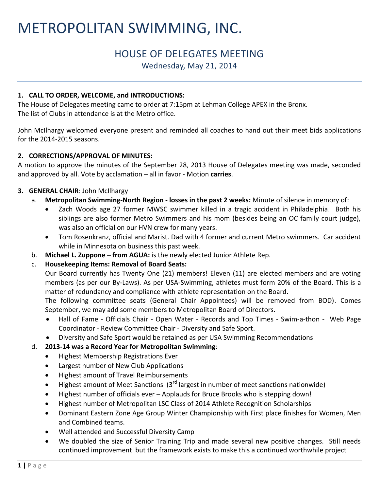# METROPOLITAN SWIMMING, INC.

# HOUSE OF DELEGATES MEETING

Wednesday, May 21, 2014

# **1. CALL TO ORDER, WELCOME, and INTRODUCTIONS:**

The House of Delegates meeting came to order at 7:15pm at Lehman College APEX in the Bronx. The list of Clubs in attendance is at the Metro office.

John McIlhargy welcomed everyone present and reminded all coaches to hand out their meet bids applications for the 2014-2015 seasons.

### **2. CORRECTIONS/APPROVAL OF MINUTES:**

A motion to approve the minutes of the September 28, 2013 House of Delegates meeting was made, seconded and approved by all. Vote by acclamation – all in favor - Motion **carries**.

# **3. GENERAL CHAIR**: John McIlhargy

- a. **Metropolitan Swimming-North Region - losses in the past 2 weeks:** Minute of silence in memory of:
	- Zach Woods age 27 former MWSC swimmer killed in a tragic accident in Philadelphia. Both his siblings are also former Metro Swimmers and his mom (besides being an OC family court judge), was also an official on our HVN crew for many years.
	- Tom Rosenkranz, official and Marist. Dad with 4 former and current Metro swimmers. Car accident while in Minnesota on business this past week.
- b. **Michael L. Zuppone – from AGUA:** is the newly elected Junior Athlete Rep.

# c. **Housekeeping Items: Removal of Board Seats:**

Our Board currently has Twenty One (21) members! Eleven (11) are elected members and are voting members (as per our By-Laws). As per USA-Swimming, athletes must form 20% of the Board. This is a matter of redundancy and compliance with athlete representation on the Board.

The following committee seats (General Chair Appointees) will be removed from BOD). Comes September, we may add some members to Metropolitan Board of Directors.

- Hall of Fame Officials Chair Open Water Records and Top Times Swim-a-thon Web Page Coordinator - Review Committee Chair - Diversity and Safe Sport.
- Diversity and Safe Sport would be retained as per USA Swimming Recommendations

# d. **2013-14 was a Record Year for Metropolitan Swimming**:

- Highest Membership Registrations Ever
- Largest number of New Club Applications
- Highest amount of Travel Reimbursements
- Highest amount of Meet Sanctions  $(3^{rd}$  largest in number of meet sanctions nationwide)
- Highest number of officials ever Applauds for Bruce Brooks who is stepping down!
- Highest number of Metropolitan LSC Class of 2014 Athlete Recognition Scholarships
- Dominant Eastern Zone Age Group Winter Championship with First place finishes for Women, Men and Combined teams.
- Well attended and Successful Diversity Camp
- We doubled the size of Senior Training Trip and made several new positive changes. Still needs continued improvement but the framework exists to make this a continued worthwhile project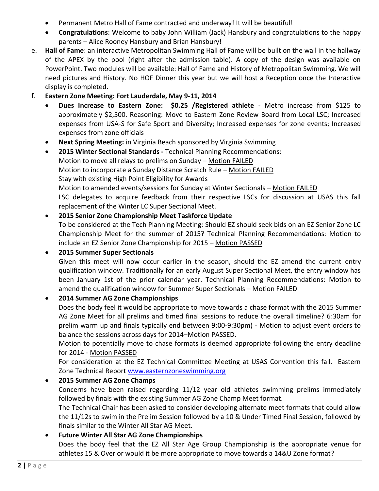- Permanent Metro Hall of Fame contracted and underway! It will be beautiful!
- **Congratulations**: Welcome to baby John William (Jack) Hansbury and congratulations to the happy parents – Alice Rooney Hansbury and Brian Hansbury!
- e. **Hall of Fame**: an interactive Metropolitan Swimming Hall of Fame will be built on the wall in the hallway of the APEX by the pool (right after the admission table). A copy of the design was available on PowerPoint. Two modules will be available: Hall of Fame and History of Metropolitan Swimming. We will need pictures and History. No HOF Dinner this year but we will host a Reception once the Interactive display is completed.

# f. **Eastern Zone Meeting: Fort Lauderdale, May 9-11, 2014**

- **Dues Increase to Eastern Zone: \$0.25 /Registered athlete** Metro increase from \$125 to approximately \$2,500. Reasoning: Move to Eastern Zone Review Board from Local LSC; Increased expenses from USA-S for Safe Sport and Diversity; Increased expenses for zone events; Increased expenses from zone officials
- **Next Spring Meeting:** in Virginia Beach sponsored by Virginia Swimming
- **2015 Winter Sectional Standards -** Technical Planning Recommendations: Motion to move all relays to prelims on Sunday – Motion FAILED Motion to incorporate a Sunday Distance Scratch Rule – Motion FAILED Stay with existing High Point Eligibility for Awards Motion to amended events/sessions for Sunday at Winter Sectionals – Motion FAILED LSC delegates to acquire feedback from their respective LSCs for discussion at USAS this fall replacement of the Winter LC Super Sectional Meet.

# **2015 Senior Zone Championship Meet Taskforce Update** To be considered at the Tech Planning Meeting: Should EZ should seek bids on an EZ Senior Zone LC Championship Meet for the summer of 2015? Technical Planning Recommendations: Motion to include an EZ Senior Zone Championship for 2015 – Motion PASSED

### **2015 Summer Super Sectionals**

Given this meet will now occur earlier in the season, should the EZ amend the current entry qualification window. Traditionally for an early August Super Sectional Meet, the entry window has been January 1st of the prior calendar year. Technical Planning Recommendations: Motion to amend the qualification window for Summer Super Sectionals - Motion FAILED

### **2014 Summer AG Zone Championships**

Does the body feel it would be appropriate to move towards a chase format with the 2015 Summer AG Zone Meet for all prelims and timed final sessions to reduce the overall timeline? 6:30am for prelim warm up and finals typically end between 9:00-9:30pm) - Motion to adjust event orders to balance the sessions across days for 2014–Motion PASSED.

Motion to potentially move to chase formats is deemed appropriate following the entry deadline for 2014 - Motion PASSED

For consideration at the EZ Technical Committee Meeting at USAS Convention this fall. Eastern Zone Technical Report [www.easternzoneswimming.org](http://www.easternzoneswimming.org/)

### **2015 Summer AG Zone Champs**

Concerns have been raised regarding 11/12 year old athletes swimming prelims immediately followed by finals with the existing Summer AG Zone Champ Meet format.

The Technical Chair has been asked to consider developing alternate meet formats that could allow the 11/12s to swim in the Prelim Session followed by a 10 & Under Timed Final Session, followed by finals similar to the Winter All Star AG Meet.

# **Future Winter All Star AG Zone Championships**

Does the body feel that the EZ All Star Age Group Championship is the appropriate venue for athletes 15 & Over or would it be more appropriate to move towards a 14&U Zone format?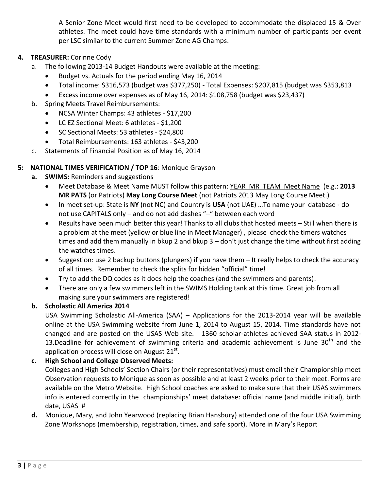A Senior Zone Meet would first need to be developed to accommodate the displaced 15 & Over athletes. The meet could have time standards with a minimum number of participants per event per LSC similar to the current Summer Zone AG Champs.

# **4. TREASURER:** Corinne Cody

- a. The following 2013-14 Budget Handouts were available at the meeting:
	- Budget vs. Actuals for the period ending May 16, 2014
	- Total income: \$316,573 (budget was \$377,250) Total Expenses: \$207,815 (budget was \$353,813
	- Excess income over expenses as of May 16, 2014: \$108,758 (budget was \$23,437)
- b. Spring Meets Travel Reimbursements:
	- NCSA Winter Champs: 43 athletes \$17,200
	- LC EZ Sectional Meet: 6 athletes \$1,200
	- SC Sectional Meets: 53 athletes \$24,800
	- Total Reimbursements: 163 athletes \$43,200
- c. Statements of Financial Position as of May 16, 2014

### **5: NATIONAL TIMES VERIFICATION / TOP 16**: Monique Grayson

- **a. SWIMS:** Reminders and suggestions
	- Meet Database & Meet Name MUST follow this pattern: YEAR MR TEAM Meet Name (e.g.: **2013 MR PATS** (or Patriots) **May Long Course Meet** (not Patriots 2013 May Long Course Meet.)
	- In meet set-up: State is **NY** (not NC) and Country is **USA** (not UAE) …To name your database do not use CAPITALS only – and do not add dashes "–" between each word
	- Results have been much better this year! Thanks to all clubs that hosted meets Still when there is a problem at the meet (yellow or blue line in Meet Manager) , please check the timers watches times and add them manually in bkup 2 and bkup 3 – don't just change the time without first adding the watches times.
	- Suggestion: use 2 backup buttons (plungers) if you have them It really helps to check the accuracy of all times. Remember to check the splits for hidden "official" time!
	- Try to add the DQ codes as it does help the coaches (and the swimmers and parents).
	- There are only a few swimmers left in the SWIMS Holding tank at this time. Great job from all making sure your swimmers are registered!

### **b. Scholastic All America 2014**

USA Swimming Scholastic All-America (SAA) – Applications for the 2013-2014 year will be available online at the USA Swimming website from June 1, 2014 to August 15, 2014. Time standards have not changed and are posted on the USAS Web site. 1360 scholar-athletes achieved SAA status in 2012- 13.Deadline for achievement of swimming criteria and academic achievement is June  $30<sup>th</sup>$  and the application process will close on August 21 $^{\rm st}$ .

# **c. High School and College Observed Meets:**

Colleges and High Schools' Section Chairs (or their representatives) must email their Championship meet Observation requests to Monique as soon as possible and at least 2 weeks prior to their meet. Forms are available on the Metro Website. High School coaches are asked to make sure that their USAS swimmers info is entered correctly in the championships' meet database: official name (and middle initial), birth date, USAS #

**d.** Monique, Mary, and John Yearwood (replacing Brian Hansbury) attended one of the four USA Swimming Zone Workshops (membership, registration, times, and safe sport). More in Mary's Report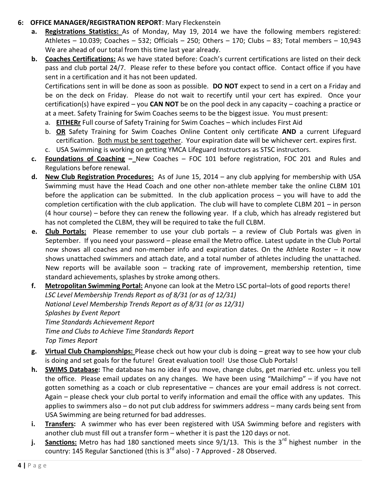- **6: OFFICE MANAGER/REGISTRATION REPORT**: Mary Fleckenstein
	- **a. Registrations Statistics:** As of Monday, May 19, 2014 we have the following members registered: Athletes – 10.039; Coaches – 532; Officials – 250; Others – 170; Clubs – 83; Total members – 10,943 We are ahead of our total from this time last year already.
	- **b. Coaches Certifications:** As we have stated before: Coach's current certifications are listed on their deck pass and club portal 24/7. Please refer to these before you contact office. Contact office if you have sent in a certification and it has not been updated.

Certifications sent in will be done as soon as possible. **DO NOT** expect to send in a cert on a Friday and be on the deck on Friday. Please do not wait to recertify until your cert has expired. Once your certification(s) have expired – you **CAN NOT** be on the pool deck in any capacity – coaching a practice or at a meet. Safety Training for Swim Coaches seems to be the biggest issue. You must present:

- a. **EITHERr** Full course of Safety Training for Swim Coaches which includes First Aid
- b. **OR** Safety Training for Swim Coaches Online Content only certificate **AND** a current Lifeguard certification. Both must be sent together. Your expiration date will be whichever cert. expires first.
- c. USA Swimming is working on getting YMCA Lifeguard Instructors as STSC instructors.
- **c. Foundations of Coaching –** New Coaches FOC 101 before registration, FOC 201 and Rules and Regulations before renewal.
- **d. New Club Registration Procedures:** As of June 15, 2014 any club applying for membership with USA Swimming must have the Head Coach and one other non-athlete member take the online CLBM 101 before the application can be submitted. In the club application process – you will have to add the completion certification with the club application. The club will have to complete CLBM 201 – in person (4 hour course) – before they can renew the following year. If a club, which has already registered but has not completed the CLBM, they will be required to take the full CLBM.
- **e. Club Portals:** Please remember to use your club portals a review of Club Portals was given in September. If you need your password – please email the Metro office. Latest update in the Club Portal now shows all coaches and non-member info and expiration dates. On the Athlete Roster – it now shows unattached swimmers and attach date, and a total number of athletes including the unattached. New reports will be available soon – tracking rate of improvement, membership retention, time standard achievements, splashes by stroke among others.
- **f. Metropolitan Swimming Portal:** Anyone can look at the Metro LSC portal–lots of good reports there! *LSC Level Membership Trends Report as of 8/31 (or as of 12/31) National Level Membership Trends Report as of 8/31 (or as 12/31) Splashes by Event Report Time Standards Achievement Report Time and Clubs to Achieve Time Standards Report Top Times Report*
- **g. Virtual Club Championships:** Please check out how your club is doing great way to see how your club is doing and set goals for the future! Great evaluation tool! Use those Club Portals!
- **h. SWIMS Database:** The database has no idea if you move, change clubs, get married etc. unless you tell the office. Please email updates on any changes. We have been using "Mailchimp" – if you have not gotten something as a coach or club representative – chances are your email address is not correct. Again – please check your club portal to verify information and email the office with any updates. This applies to swimmers also – do not put club address for swimmers address – many cards being sent from USA Swimming are being returned for bad addresses.
- **i. Transfers:** A swimmer who has ever been registered with USA Swimming before and registers with another club must fill out a transfer form – whether it is past the 120 days or not.
- **j.** Sanctions: Metro has had 180 sanctioned meets since 9/1/13. This is the 3<sup>rd</sup> highest number in the country: 145 Regular Sanctioned (this is 3<sup>rd</sup> also) - 7 Approved - 28 Observed.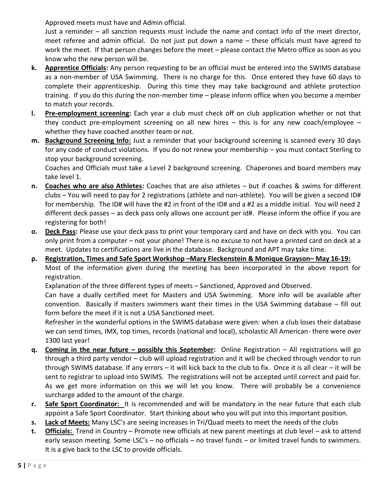Approved meets must have and Admin official.

Just a reminder – all sanction requests must include the name and contact info of the meet director, meet referee and admin official. Do not just put down a name – these officials must have agreed to work the meet. If that person changes before the meet – please contact the Metro office as soon as you know who the new person will be.

- **k. Apprentice Officials:** Any person requesting to be an official must be entered into the SWIMS database as a non-member of USA Swimming. There is no charge for this. Once entered they have 60 days to complete their apprenticeship. During this time they may take background and athlete protection training. If you do this during the non-member time – please inform office when you become a member to match your records.
- **l. Pre-employment screening:** Each year a club must check off on club application whether or not that they conduct pre-employment screening on all new hires – this is for any new coach/employee – whether they have coached another team or not.
- **m. Background Screening Info:** Just a reminder that your background screening is scanned every 30 days for any code of conduct violations. If you do not renew your membership – you must contact Sterling to stop your background screening.

Coaches and Officials must take a Level 2 background screening. Chaperones and board members may take level 1.

- **n. Coaches who are also Athletes:** Coaches that are also athletes but if coaches & swims for different clubs – You will need to pay for 2 registrations (athlete and non-athlete). You will be given a second ID# for membership. The ID# will have the #2 in front of the ID# and a #2 as a middle initial. You will need 2 different deck passes – as deck pass only allows one account per id#. Please inform the office if you are registering for both!
- **o. Deck Pass:** Please use your deck pass to print your temporary card and have on deck with you. You can only print from a computer – not your phone! There is no excuse to not have a printed card on deck at a meet. Updates to certifications are live in the database. Background and APT may take time.
- **p. Registration, Times and Safe Sport Workshop –Mary Fleckenstein & Monique Grayson– May 16-19:** Most of the information given during the meeting has been incorporated in the above report for registration.

Explanation of the three different types of meets – Sanctioned, Approved and Observed.

Can have a dually certified meet for Masters and USA Swimming. More info will be available after convention. Basically if masters swimmers want their times in the USA Swimming database – fill out form before the meet if it is not a USA Sanctioned meet.

Refresher in the wonderful options in the SWIMS database were given: when a club loses their database we can send times, IMX, top times, records (national and local), scholastic All American- there were over 1300 last year!

- **q. Coming in the near future – possibly this September:** Online Registration All registrations will go through a third party vendor – club will upload registration and it will be checked through vendor to run through SWIMS database. If any errors – it will kick back to the club to fix. Once it is all clear – it will be sent to registrar to upload into SWIMS. The registrations will not be accepted until correct and paid for. As we get more information on this we will let you know. There will probably be a convenience surcharge added to the amount of the charge.
- **r. Safe Sport Coordinator:** It is recommended and will be mandatory in the near future that each club appoint a Safe Sport Coordinator. Start thinking about who you will put into this important position.
- **s. Lack of Meets:** Many LSC's are seeing increases in Tri/Quad meets to meet the needs of the clubs
- **t. Officials:** Trend in Country Promote new officials at new parent meetings at club level ask to attend early season meeting. Some LSC's – no officials – no travel funds – or limited travel funds to swimmers. It is a give back to the LSC to provide officials.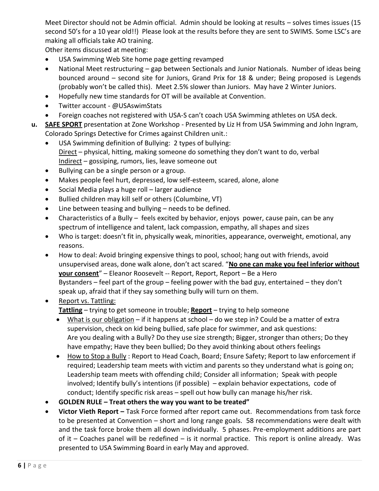Meet Director should not be Admin official. Admin should be looking at results – solves times issues (15 second 50's for a 10 year old!!) Please look at the results before they are sent to SWIMS. Some LSC's are making all officials take AO training.

Other items discussed at meeting:

- USA Swimming Web Site home page getting revamped
- National Meet restructuring gap between Sectionals and Junior Nationals. Number of ideas being bounced around – second site for Juniors, Grand Prix for 18 & under; Being proposed is Legends (probably won't be called this). Meet 2.5% slower than Juniors. May have 2 Winter Juniors.
- Hopefully new time standards for OT will be available at Convention.
- Twitter account @USAswimStats
- Foreign coaches not registered with USA-S can't coach USA Swimming athletes on USA deck.
- **u. SAFE SPORT** presentation at Zone Workshop Presented by Liz H from USA Swimming and John Ingram, Colorado Springs Detective for Crimes against Children unit.:
	- USA Swimming definition of Bullying: 2 types of bullying: Direct – physical, hitting, making someone do something they don't want to do, verbal Indirect – gossiping, rumors, lies, leave someone out
	- Bullying can be a single person or a group.
	- Makes people feel hurt, depressed, low self-esteem, scared, alone, alone
	- Social Media plays a huge roll larger audience
	- Bullied children may kill self or others (Columbine, VT)
	- Line between teasing and bullying needs to be defined.
	- Characteristics of a Bully feels excited by behavior, enjoys power, cause pain, can be any spectrum of intelligence and talent, lack compassion, empathy, all shapes and sizes
	- Who is target: doesn't fit in, physically weak, minorities, appearance, overweight, emotional, any reasons.
	- How to deal: Avoid bringing expensive things to pool, school; hang out with friends, avoid unsupervised areas, done walk alone, don't act scared. "**No one can make you feel inferior without your consent**" – Eleanor Roosevelt -- Report, Report, Report – Be a Hero Bystanders – feel part of the group – feeling power with the bad guy, entertained – they don't speak up, afraid that if they say something bully will turn on them.
	- Report vs. Tattling: **Tattling** – trying to get someone in trouble; **Report** – trying to help someone
		- What is our obligation if it happens at school do we step in? Could be a matter of extra supervision, check on kid being bullied, safe place for swimmer, and ask questions: Are you dealing with a Bully? Do they use size strength; Bigger, stronger than others; Do they have empathy; Have they been bullied; Do they avoid thinking about others feelings
		- How to Stop a Bully : Report to Head Coach, Board; Ensure Safety; Report to law enforcement if required; Leadership team meets with victim and parents so they understand what is going on; Leadership team meets with offending child; Consider all information; Speak with people involved; Identify bully's intentions (if possible) – explain behavior expectations, code of conduct; Identify specific risk areas – spell out how bully can manage his/her risk.
	- **GOLDEN RULE – Treat others the way you want to be treated"**
	- **Victor Vieth Report –** Task Force formed after report came out. Recommendations from task force to be presented at Convention – short and long range goals. 58 recommendations were dealt with and the task force broke them all down individually. 5 phases. Pre-employment additions are part of it – Coaches panel will be redefined – is it normal practice. This report is online already. Was presented to USA Swimming Board in early May and approved.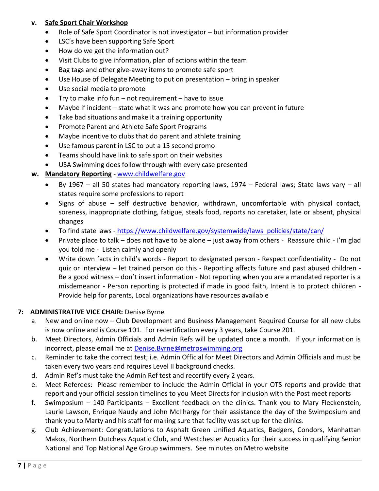# **v. Safe Sport Chair Workshop**

- Role of Safe Sport Coordinator is not investigator but information provider
- LSC's have been supporting Safe Sport
- How do we get the information out?
- Visit Clubs to give information, plan of actions within the team
- Bag tags and other give-away items to promote safe sport
- Use House of Delegate Meeting to put on presentation bring in speaker
- Use social media to promote
- Try to make info fun not requirement have to issue
- Maybe if incident state what it was and promote how you can prevent in future
- Take bad situations and make it a training opportunity
- Promote Parent and Athlete Safe Sport Programs
- Maybe incentive to clubs that do parent and athlete training
- Use famous parent in LSC to put a 15 second promo
- Teams should have link to safe sport on their websites
- USA Swimming does follow through with every case presented

# **w. Mandatory Reporting -** [www.childwelfare.gov](http://www.childwelfare.gov/)

- By 1967 all 50 states had mandatory reporting laws, 1974 Federal laws; State laws vary all states require some professions to report
- Signs of abuse self destructive behavior, withdrawn, uncomfortable with physical contact, soreness, inappropriate clothing, fatigue, steals food, reports no caretaker, late or absent, physical changes
- To find state laws [https://www.childwelfare.gov/systemwide/laws\\_policies/state/can/](https://www.childwelfare.gov/systemwide/laws_policies/state/can/)
- Private place to talk does not have to be alone just away from others Reassure child I'm glad you told me - Listen calmly and openly
- Write down facts in child's words Report to designated person Respect confidentiality Do not quiz or interview – let trained person do this - Reporting affects future and past abused children - Be a good witness – don't insert information - Not reporting when you are a mandated reporter is a misdemeanor - Person reporting is protected if made in good faith, Intent is to protect children - Provide help for parents, Local organizations have resources available

# **7: ADMINISTRATIVE VICE CHAIR:** Denise Byrne

- a. New and online now Club Development and Business Management Required Course for all new clubs is now online and is Course 101. For recertification every 3 years, take Course 201.
- b. Meet Directors, Admin Officials and Admin Refs will be updated once a month. If your information is incorrect, please email me at [Denise.Byrne@metroswimming.org](mailto:Denise.Byrne@metroswimming.org)
- c. Reminder to take the correct test; i.e. Admin Official for Meet Directors and Admin Officials and must be taken every two years and requires Level II background checks.
- d. Admin Ref's must take the Admin Ref test and recertify every 2 years.
- e. Meet Referees: Please remember to include the Admin Official in your OTS reports and provide that report and your official session timelines to you Meet Directs for inclusion with the Post meet reports
- f. Swimposium 140 Participants Excellent feedback on the clinics. Thank you to Mary Fleckenstein, Laurie Lawson, Enrique Naudy and John McIlhargy for their assistance the day of the Swimposium and thank you to Marty and his staff for making sure that facility was set up for the clinics.
- g. Club Achievement: Congratulations to Asphalt Green Unified Aquatics, Badgers, Condors, Manhattan Makos, Northern Dutchess Aquatic Club, and Westchester Aquatics for their success in qualifying Senior National and Top National Age Group swimmers. See minutes on Metro website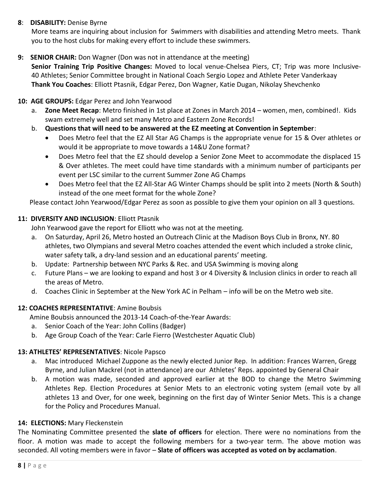# **8**: **DISABILITY:** Denise Byrne

More teams are inquiring about inclusion for Swimmers with disabilities and attending Metro meets. Thank you to the host clubs for making every effort to include these swimmers.

**9: SENIOR CHAIR:** Don Wagner (Don was not in attendance at the meeting)

**Senior Training Trip Positive Changes:** Moved to local venue-Chelsea Piers, CT; Trip was more Inclusive-40 Athletes; Senior Committee brought in National Coach Sergio Lopez and Athlete Peter Vanderkaay **Thank You Coaches**: Elliott Ptasnik, Edgar Perez, Don Wagner, Katie Dugan, Nikolay Shevchenko

# **10: AGE GROUPS:** Edgar Perez and John Yearwood

- a. **Zone Meet Recap**: Metro finished in 1st place at Zones in March 2014 women, men, combined!. Kids swam extremely well and set many Metro and Eastern Zone Records!
- b. **Questions that will need to be answered at the EZ meeting at Convention in September**:
	- Does Metro feel that the EZ All Star AG Champs is the appropriate venue for 15 & Over athletes or would it be appropriate to move towards a 14&U Zone format?
	- Does Metro feel that the EZ should develop a Senior Zone Meet to accommodate the displaced 15 & Over athletes. The meet could have time standards with a minimum number of participants per event per LSC similar to the current Summer Zone AG Champs
	- Does Metro feel that the EZ All-Star AG Winter Champs should be split into 2 meets (North & South) instead of the one meet format for the whole Zone?

Please contact John Yearwood/Edgar Perez as soon as possible to give them your opinion on all 3 questions.

# **11: DIVERSITY AND INCLUSION**: Elliott Ptasnik

John Yearwood gave the report for Elliott who was not at the meeting.

- a. On Saturday, April 26, Metro hosted an Outreach Clinic at the Madison Boys Club in Bronx, NY. 80 athletes, two Olympians and several Metro coaches attended the event which included a stroke clinic, water safety talk, a dry-land session and an educational parents' meeting.
- b. Update: Partnership between NYC Parks & Rec. and USA Swimming is moving along
- c. Future Plans we are looking to expand and host 3 or 4 Diversity & Inclusion clinics in order to reach all the areas of Metro.
- d. Coaches Clinic in September at the New York AC in Pelham info will be on the Metro web site.

# **12: COACHES REPRESENTATIVE**: Amine Boubsis

Amine Boubsis announced the 2013-14 Coach-of-the-Year Awards:

- a. Senior Coach of the Year: John Collins (Badger)
- b. Age Group Coach of the Year: Carle Fierro (Westchester Aquatic Club)

### **13: ATHLETES' REPRESENTATIVES**: Nicole Papsco

- a. Mac introduced Michael Zuppone as the newly elected Junior Rep. In addition: Frances Warren, Gregg Byrne, and Julian Mackrel (not in attendance) are our Athletes' Reps. appointed by General Chair
- b. A motion was made, seconded and approved earlier at the BOD to change the Metro Swimming Athletes Rep. Election Procedures at Senior Mets to an electronic voting system (email vote by all athletes 13 and Over, for one week, beginning on the first day of Winter Senior Mets. This is a change for the Policy and Procedures Manual.

### **14: ELECTIONS:** Mary Fleckenstein

The Nominating Committee presented the **slate of officers** for election. There were no nominations from the floor. A motion was made to accept the following members for a two-year term. The above motion was seconded. All voting members were in favor – **Slate of officers was accepted as voted on by acclamation**.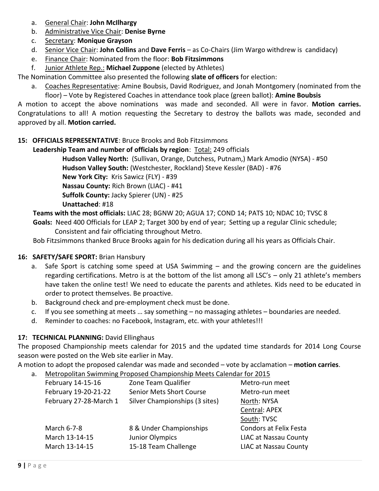- a. General Chair: **John McIlhargy**
- b. Administrative Vice Chair: **Denise Byrne**
- c. Secretary: **Monique Grayson**
- d. Senior Vice Chair: **John Collins** and **Dave Ferris** as Co-Chairs (Jim Wargo withdrew is candidacy)
- e. Finance Chair: Nominated from the floor: **Bob Fitzsimmons**
- f. Junior Athlete Rep.: **Michael Zuppone** (elected by Athletes)

The Nomination Committee also presented the following **slate of officers** for election:

a. Coaches Representative: Amine Boubsis, David Rodriguez, and Jonah Montgomery (nominated from the floor) – Vote by Registered Coaches in attendance took place (green ballot): **Amine Boubsis**

A motion to accept the above nominations was made and seconded. All were in favor. **Motion carries.**  Congratulations to all! A motion requesting the Secretary to destroy the ballots was made, seconded and approved by all. **Motion carried.**

# **15: OFFICIALS REPRESENTATIVE**: Bruce Brooks and Bob Fitzsimmons

 **Leadership Team and number of officials by region**: Total: 249 officials **Hudson Valley North:** (Sullivan, Orange, Dutchess, Putnam,) Mark Amodio (NYSA) - #50 **Hudson Valley South:** (Westchester, Rockland) Steve Kessler (BAD) - #76 **New York City:** Kris Sawicz (FLY) - #39 **Nassau County:** Rich Brown (LIAC) - #41 **Suffolk County:** Jacky Spierer (UN) - #25 **Unattached**: #18  **Teams with the most officials:** LIAC 28; BGNW 20; AGUA 17; COND 14; PATS 10; NDAC 10; TVSC 8

 **Goals:** Need 400 Officials for LEAP 2; Target 300 by end of year; Setting up a regular Clinic schedule;

Consistent and fair officiating throughout Metro.

Bob Fitzsimmons thanked Bruce Brooks again for his dedication during all his years as Officials Chair.

# **16: SAFETY/SAFE SPORT:** Brian Hansbury

- a. Safe Sport is catching some speed at USA Swimming and the growing concern are the guidelines regarding certifications. Metro is at the bottom of the list among all LSC's – only 21 athlete's members have taken the online test! We need to educate the parents and athletes. Kids need to be educated in order to protect themselves. Be proactive.
- b. Background check and pre-employment check must be done.
- c. If you see something at meets … say something no massaging athletes boundaries are needed.
- d. Reminder to coaches: no Facebook, Instagram, etc. with your athletes!!!

# 17: **TECHNICAL PLANNING:** David Ellinghaus

The proposed Championship meets calendar for 2015 and the updated time standards for 2014 Long Course season were posted on the Web site earlier in May.

A motion to adopt the proposed calendar was made and seconded – vote by acclamation – **motion carries**.

a. Metropolitan Swimming Proposed Championship Meets Calendar for 2015

| February 14-15-16      | Zone Team Qualifier            | Metro-run meet               |
|------------------------|--------------------------------|------------------------------|
| February 19-20-21-22   | Senior Mets Short Course       | Metro-run meet               |
| February 27-28-March 1 | Silver Championships (3 sites) | North: NYSA                  |
|                        |                                | Central: APEX                |
|                        |                                | South: TVSC                  |
| March 6-7-8            | 8 & Under Championships        | Condors at Felix Festa       |
| March 13-14-15         | <b>Junior Olympics</b>         | <b>LIAC at Nassau County</b> |
| March 13-14-15         | 15-18 Team Challenge           | <b>LIAC at Nassau County</b> |
|                        |                                |                              |